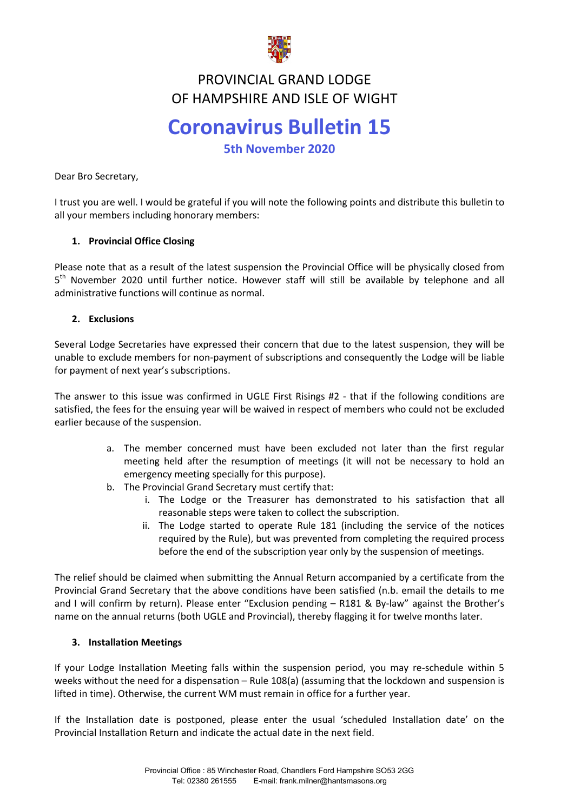

#### **FRUVINCIAL GRAND LUDGE<br>ARTICLE AND ISLE OF WICH** PROVINCIAL GRAND LODGE OF HAMPSHIRE AND ISLE OF WIGHT

# **Coronavirus Bulletin 15**

**5th November 2020** 

Dear Bro Secretary,

I trust you are well. I would be grateful if you will note the following points and distribute this bulletin to all your members including honorary members:

## **1. Provincial Office Closing**

Please note that as a result of the latest suspension the Provincial Office will be physically closed from 5<sup>th</sup> November 2020 until further notice. However staff will still be available by telephone and all administrative functions will continue as normal.

## **2. Exclusions**

Several Lodge Secretaries have expressed their concern that due to the latest suspension, they will be unable to exclude members for non-payment of subscriptions and consequently the Lodge will be liable for payment of next year's subscriptions.

The answer to this issue was confirmed in UGLE First Risings #2 - that if the following conditions are satisfied, the fees for the ensuing year will be waived in respect of members who could not be excluded earlier because of the suspension.

- a. The member concerned must have been excluded not later than the first regular meeting held after the resumption of meetings (it will not be necessary to hold an emergency meeting specially for this purpose).
- b. The Provincial Grand Secretary must certify that:
	- i. The Lodge or the Treasurer has demonstrated to his satisfaction that all reasonable steps were taken to collect the subscription.
	- ii. The Lodge started to operate Rule 181 (including the service of the notices required by the Rule), but was prevented from completing the required process before the end of the subscription year only by the suspension of meetings.

The relief should be claimed when submitting the Annual Return accompanied by a certificate from the Provincial Grand Secretary that the above conditions have been satisfied (n.b. email the details to me and I will confirm by return). Please enter "Exclusion pending – R181 & By-law" against the Brother's name on the annual returns (both UGLE and Provincial), thereby flagging it for twelve months later.

## **3. Installation Meetings**

If your Lodge Installation Meeting falls within the suspension period, you may re-schedule within 5 weeks without the need for a dispensation – Rule 108(a) (assuming that the lockdown and suspension is lifted in time). Otherwise, the current WM must remain in office for a further year.

If the Installation date is postponed, please enter the usual 'scheduled Installation date' on the Provincial Installation Return and indicate the actual date in the next field.